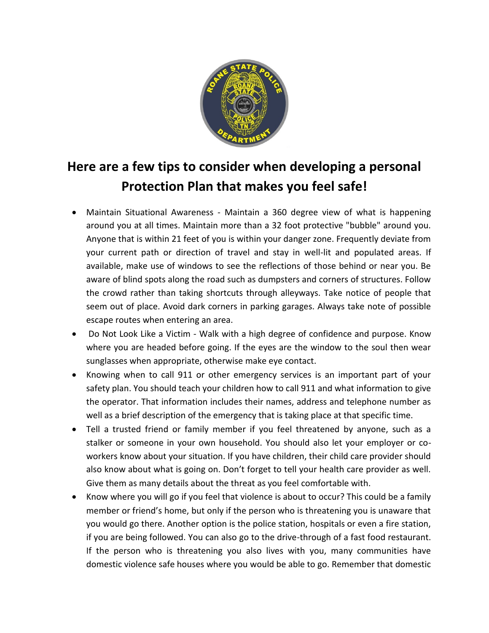

## **Here are a few tips to consider when developing a personal Protection Plan that makes you feel safe!**

- Maintain Situational Awareness Maintain a 360 degree view of what is happening around you at all times. Maintain more than a 32 foot protective "bubble" around you. Anyone that is within 21 feet of you is within your danger zone. Frequently deviate from your current path or direction of travel and stay in well-lit and populated areas. If available, make use of windows to see the reflections of those behind or near you. Be aware of blind spots along the road such as dumpsters and corners of structures. Follow the crowd rather than taking shortcuts through alleyways. Take notice of people that seem out of place. Avoid dark corners in parking garages. Always take note of possible escape routes when entering an area.
- Do Not Look Like a Victim Walk with a high degree of confidence and purpose. Know where you are headed before going. If the eyes are the window to the soul then wear sunglasses when appropriate, otherwise make eye contact.
- Knowing when to call 911 or other emergency services is an important part of your safety plan. You should teach your children how to call 911 and what information to give the operator. That information includes their names, address and telephone number as well as a brief description of the emergency that is taking place at that specific time.
- Tell a trusted friend or family member if you feel threatened by anyone, such as a stalker or someone in your own household. You should also let your employer or coworkers know about your situation. If you have children, their child care provider should also know about what is going on. Don't forget to tell your health care provider as well. Give them as many details about the threat as you feel comfortable with.
- Know where you will go if you feel that violence is about to occur? This could be a family member or friend's home, but only if the person who is threatening you is unaware that you would go there. Another option is the police station, hospitals or even a fire station, if you are being followed. You can also go to the drive-through of a fast food restaurant. If the person who is threatening you also lives with you, many communities have domestic violence safe houses where you would be able to go. Remember that domestic